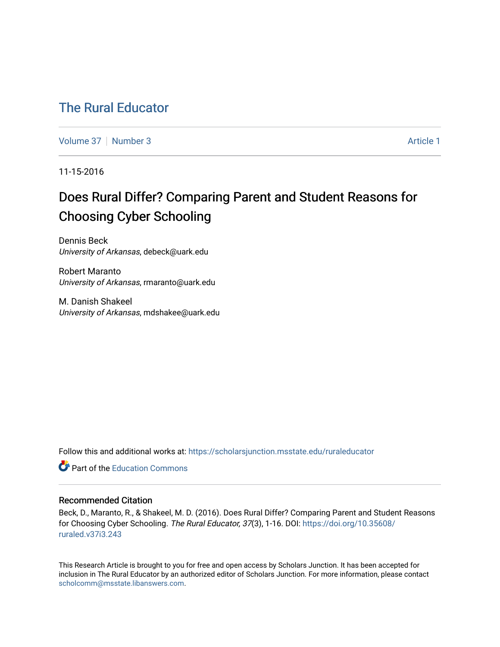# [The Rural Educator](https://scholarsjunction.msstate.edu/ruraleducator)

[Volume 37](https://scholarsjunction.msstate.edu/ruraleducator/vol37) [Number 3](https://scholarsjunction.msstate.edu/ruraleducator/vol37/iss3) Article 1

11-15-2016

# Does Rural Differ? Comparing Parent and Student Reasons for Choosing Cyber Schooling

Dennis Beck University of Arkansas, debeck@uark.edu

Robert Maranto University of Arkansas, rmaranto@uark.edu

M. Danish Shakeel University of Arkansas, mdshakee@uark.edu

Follow this and additional works at: [https://scholarsjunction.msstate.edu/ruraleducator](https://scholarsjunction.msstate.edu/ruraleducator?utm_source=scholarsjunction.msstate.edu%2Fruraleducator%2Fvol37%2Fiss3%2F1&utm_medium=PDF&utm_campaign=PDFCoverPages)

**C** Part of the [Education Commons](http://network.bepress.com/hgg/discipline/784?utm_source=scholarsjunction.msstate.edu%2Fruraleducator%2Fvol37%2Fiss3%2F1&utm_medium=PDF&utm_campaign=PDFCoverPages)

## Recommended Citation

Beck, D., Maranto, R., & Shakeel, M. D. (2016). Does Rural Differ? Comparing Parent and Student Reasons for Choosing Cyber Schooling. The Rural Educator, 37(3), 1-16. DOI: [https://doi.org/10.35608/](https://doi.org/10.35608/ruraled.v37i3.243) [ruraled.v37i3.243](https://doi.org/10.35608/ruraled.v37i3.243)

This Research Article is brought to you for free and open access by Scholars Junction. It has been accepted for inclusion in The Rural Educator by an authorized editor of Scholars Junction. For more information, please contact [scholcomm@msstate.libanswers.com.](mailto:scholcomm@msstate.libanswers.com)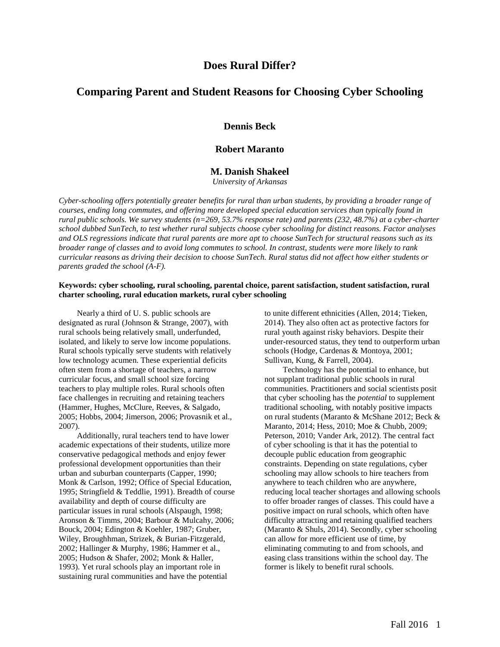## **Does Rural Differ?**

## **Comparing Parent and Student Reasons for Choosing Cyber Schooling**

## **Dennis Beck**

## **Robert Maranto**

## **M. Danish Shakeel**

*University of Arkansas*

*Cyber-schooling offers potentially greater benefits for rural than urban students, by providing a broader range of courses, ending long commutes, and offering more developed special education services than typically found in rural public schools. We survey students (n=269, 53.7% response rate) and parents (232, 48.7%) at a cyber-charter school dubbed SunTech, to test whether rural subjects choose cyber schooling for distinct reasons. Factor analyses and OLS regressions indicate that rural parents are more apt to choose SunTech for structural reasons such as its broader range of classes and to avoid long commutes to school. In contrast, students were more likely to rank curricular reasons as driving their decision to choose SunTech. Rural status did not affect how either students or parents graded the school (A-F).* 

## **Keywords: cyber schooling, rural schooling, parental choice, parent satisfaction, student satisfaction, rural charter schooling, rural education markets, rural cyber schooling**

Nearly a third of U. S. public schools are designated as rural (Johnson & Strange, 2007), with rural schools being relatively small, underfunded, isolated, and likely to serve low income populations. Rural schools typically serve students with relatively low technology acumen. These experiential deficits often stem from a shortage of teachers, a narrow curricular focus, and small school size forcing teachers to play multiple roles. Rural schools often face challenges in recruiting and retaining teachers (Hammer, Hughes, McClure, Reeves, & Salgado, 2005; Hobbs, 2004; Jimerson, 2006; Provasnik et al., 2007).

Additionally, rural teachers tend to have lower academic expectations of their students, utilize more conservative pedagogical methods and enjoy fewer professional development opportunities than their urban and suburban counterparts (Capper, 1990; Monk & Carlson, 1992; Office of Special Education, 1995; Stringfield & Teddlie, 1991). Breadth of course availability and depth of course difficulty are particular issues in rural schools (Alspaugh, 1998; Aronson & Timms, 2004; Barbour & Mulcahy, 2006; Bouck, 2004; Edington & Koehler, 1987; Gruber, Wiley, Broughhman, Strizek, & Burian-Fitzgerald, 2002; Hallinger & Murphy, 1986; Hammer et al., 2005; Hudson & Shafer, 2002; Monk & Haller, 1993). Yet rural schools play an important role in sustaining rural communities and have the potential

to unite different ethnicities (Allen, 2014; Tieken, 2014). They also often act as protective factors for rural youth against risky behaviors. Despite their under-resourced status, they tend to outperform urban schools (Hodge, Cardenas & Montoya, 2001; Sullivan, Kung, & Farrell, 2004).

Technology has the potential to enhance, but not supplant traditional public schools in rural communities. Practitioners and social scientists posit that cyber schooling has the *potential* to supplement traditional schooling, with notably positive impacts on rural students (Maranto & McShane 2012; Beck & Maranto, 2014; Hess, 2010; Moe & Chubb, 2009; Peterson, 2010; Vander Ark, 2012). The central fact of cyber schooling is that it has the potential to decouple public education from geographic constraints. Depending on state regulations, cyber schooling may allow schools to hire teachers from anywhere to teach children who are anywhere, reducing local teacher shortages and allowing schools to offer broader ranges of classes. This could have a positive impact on rural schools, which often have difficulty attracting and retaining qualified teachers (Maranto & Shuls, 2014). Secondly, cyber schooling can allow for more efficient use of time, by eliminating commuting to and from schools, and easing class transitions within the school day. The former is likely to benefit rural schools.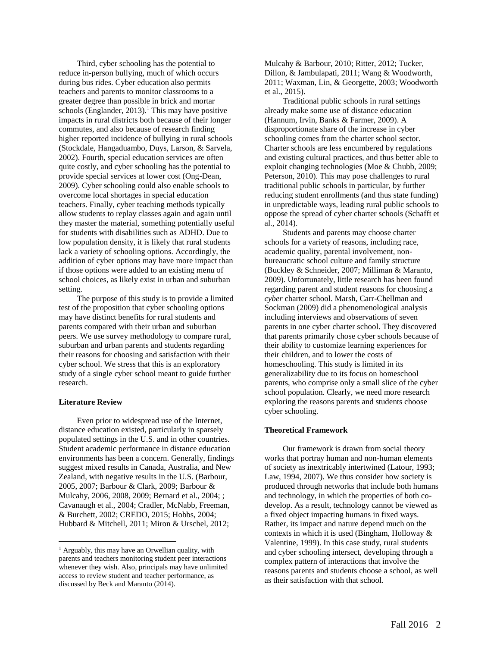Third, cyber schooling has the potential to reduce in-person bullying, much of which occurs during bus rides. Cyber education also permits teachers and parents to monitor classrooms to a greater degree than possible in brick and mortar schools (Englander, 2013).<sup>1</sup> This may have positive impacts in rural districts both because of their longer commutes, and also because of research finding higher reported incidence of bullying in rural schools (Stockdale, Hangaduambo, Duys, Larson, & Sarvela, 2002). Fourth, special education services are often quite costly, and cyber schooling has the potential to provide special services at lower cost (Ong-Dean, 2009). Cyber schooling could also enable schools to overcome local shortages in special education teachers. Finally, cyber teaching methods typically allow students to replay classes again and again until they master the material, something potentially useful for students with disabilities such as ADHD. Due to low population density, it is likely that rural students lack a variety of schooling options. Accordingly, the addition of cyber options may have more impact than if those options were added to an existing menu of school choices, as likely exist in urban and suburban setting.

The purpose of this study is to provide a limited test of the proposition that cyber schooling options may have distinct benefits for rural students and parents compared with their urban and suburban peers. We use survey methodology to compare rural, suburban and urban parents and students regarding their reasons for choosing and satisfaction with their cyber school. We stress that this is an exploratory study of a single cyber school meant to guide further research.

#### **Literature Review**

l

Even prior to widespread use of the Internet, distance education existed, particularly in sparsely populated settings in the U.S. and in other countries. Student academic performance in distance education environments has been a concern. Generally, findings suggest mixed results in Canada, Australia, and New Zealand, with negative results in the U.S. (Barbour, 2005, 2007; Barbour & Clark, 2009; Barbour & Mulcahy, 2006, 2008, 2009; Bernard et al., 2004; ; Cavanaugh et al., 2004; Cradler, McNabb, Freeman, & Burchett, 2002; CREDO, 2015; Hobbs, 2004; Hubbard & Mitchell, 2011; Miron & Urschel, 2012;

Mulcahy & Barbour, 2010; Ritter, 2012; Tucker, Dillon, & Jambulapati, 2011; Wang & Woodworth, 2011; Waxman, Lin, & Georgette, 2003; Woodworth et al., 2015).

Traditional public schools in rural settings already make some use of distance education (Hannum, Irvin, Banks & Farmer, 2009). A disproportionate share of the increase in cyber schooling comes from the charter school sector. Charter schools are less encumbered by regulations and existing cultural practices, and thus better able to exploit changing technologies (Moe & Chubb, 2009; Peterson, 2010). This may pose challenges to rural traditional public schools in particular, by further reducing student enrollments (and thus state funding) in unpredictable ways, leading rural public schools to oppose the spread of cyber charter schools (Schafft et al., 2014).

Students and parents may choose charter schools for a variety of reasons, including race, academic quality, parental involvement, nonbureaucratic school culture and family structure (Buckley & Schneider, 2007; Milliman & Maranto, 2009). Unfortunately, little research has been found regarding parent and student reasons for choosing a *cyber* charter school. Marsh, Carr-Chellman and Sockman (2009) did a phenomenological analysis including interviews and observations of seven parents in one cyber charter school. They discovered that parents primarily chose cyber schools because of their ability to customize learning experiences for their children, and to lower the costs of homeschooling. This study is limited in its generalizability due to its focus on homeschool parents, who comprise only a small slice of the cyber school population. Clearly, we need more research exploring the reasons parents and students choose cyber schooling.

#### **Theoretical Framework**

Our framework is drawn from social theory works that portray human and non-human elements of society as inextricably intertwined (Latour, 1993; Law, 1994, 2007). We thus consider how society is produced through networks that include both humans and technology, in which the properties of both codevelop. As a result, technology cannot be viewed as a fixed object impacting humans in fixed ways. Rather, its impact and nature depend much on the contexts in which it is used (Bingham, Holloway & Valentine, 1999). In this case study, rural students and cyber schooling intersect, developing through a complex pattern of interactions that involve the reasons parents and students choose a school, as well as their satisfaction with that school.

 $<sup>1</sup>$  Arguably, this may have an Orwellian quality, with</sup> parents and teachers monitoring student peer interactions whenever they wish. Also, principals may have unlimited access to review student and teacher performance, as discussed by Beck and Maranto (2014).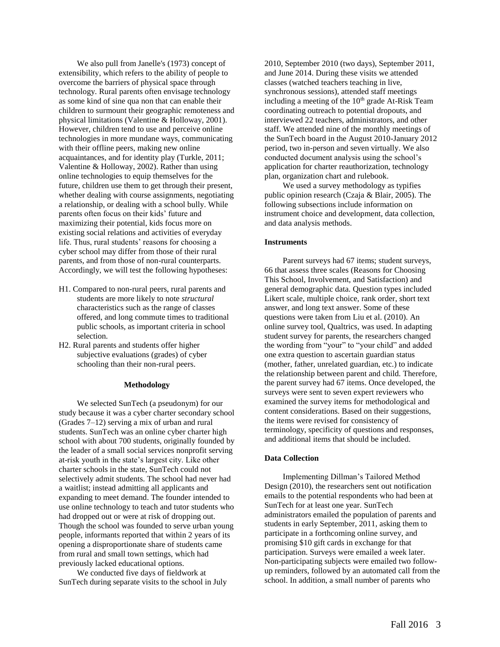We also pull from Janelle's (1973) concept of extensibility, which refers to the ability of people to overcome the barriers of physical space through technology. Rural parents often envisage technology as some kind of sine qua non that can enable their children to surmount their geographic remoteness and physical limitations (Valentine & Holloway, 2001). However, children tend to use and perceive online technologies in more mundane ways, communicating with their offline peers, making new online acquaintances, and for identity play (Turkle, 2011; Valentine & Holloway, 2002). Rather than using online technologies to equip themselves for the future, children use them to get through their present, whether dealing with course assignments, negotiating a relationship, or dealing with a school bully. While parents often focus on their kids' future and maximizing their potential, kids focus more on existing social relations and activities of everyday life. Thus, rural students' reasons for choosing a cyber school may differ from those of their rural parents, and from those of non-rural counterparts. Accordingly, we will test the following hypotheses:

- H1. Compared to non-rural peers, rural parents and students are more likely to note *structural* characteristics such as the range of classes offered, and long commute times to traditional public schools, as important criteria in school selection.
- H2. Rural parents and students offer higher subjective evaluations (grades) of cyber schooling than their non-rural peers.

#### **Methodology**

We selected SunTech (a pseudonym) for our study because it was a cyber charter secondary school (Grades 7–12) serving a mix of urban and rural students. SunTech was an online cyber charter high school with about 700 students, originally founded by the leader of a small social services nonprofit serving at-risk youth in the state's largest city. Like other charter schools in the state, SunTech could not selectively admit students. The school had never had a waitlist; instead admitting all applicants and expanding to meet demand. The founder intended to use online technology to teach and tutor students who had dropped out or were at risk of dropping out. Though the school was founded to serve urban young people, informants reported that within 2 years of its opening a disproportionate share of students came from rural and small town settings, which had previously lacked educational options.

We conducted five days of fieldwork at SunTech during separate visits to the school in July 2010, September 2010 (two days), September 2011, and June 2014. During these visits we attended classes (watched teachers teaching in live, synchronous sessions), attended staff meetings including a meeting of the  $10<sup>th</sup>$  grade At-Risk Team coordinating outreach to potential dropouts, and interviewed 22 teachers, administrators, and other staff. We attended nine of the monthly meetings of the SunTech board in the August 2010-January 2012 period, two in-person and seven virtually. We also conducted document analysis using the school's application for charter reauthorization, technology plan, organization chart and rulebook.

We used a survey methodology as typifies public opinion research (Czaja & Blair, 2005). The following subsections include information on instrument choice and development, data collection, and data analysis methods.

### **Instruments**

Parent surveys had 67 items; student surveys, 66 that assess three scales (Reasons for Choosing This School, Involvement, and Satisfaction) and general demographic data. Question types included Likert scale, multiple choice, rank order, short text answer, and long text answer. Some of these questions were taken from Liu et al. (2010). An online survey tool, Qualtrics, was used. In adapting student survey for parents, the researchers changed the wording from "your" to "your child" and added one extra question to ascertain guardian status (mother, father, unrelated guardian, etc.) to indicate the relationship between parent and child. Therefore, the parent survey had 67 items. Once developed, the surveys were sent to seven expert reviewers who examined the survey items for methodological and content considerations. Based on their suggestions, the items were revised for consistency of terminology, specificity of questions and responses, and additional items that should be included.

## **Data Collection**

Implementing Dillman's Tailored Method Design (2010), the researchers sent out notification emails to the potential respondents who had been at SunTech for at least one year. SunTech administrators emailed the population of parents and students in early September, 2011, asking them to participate in a forthcoming online survey, and promising \$10 gift cards in exchange for that participation. Surveys were emailed a week later. Non-participating subjects were emailed two followup reminders, followed by an automated call from the school. In addition, a small number of parents who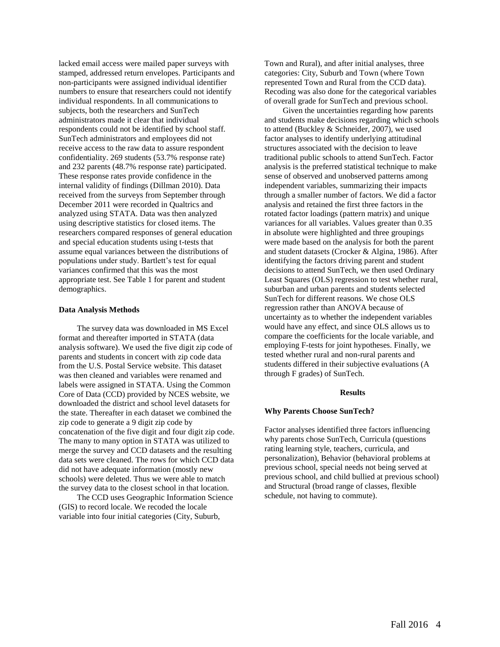lacked email access were mailed paper surveys with stamped, addressed return envelopes. Participants and non-participants were assigned individual identifier numbers to ensure that researchers could not identify individual respondents. In all communications to subjects, both the researchers and SunTech administrators made it clear that individual respondents could not be identified by school staff. SunTech administrators and employees did not receive access to the raw data to assure respondent confidentiality. 269 students (53.7% response rate) and 232 parents (48.7% response rate) participated. These response rates provide confidence in the internal validity of findings (Dillman 2010). Data received from the surveys from September through December 2011 were recorded in Qualtrics and analyzed using STATA. Data was then analyzed using descriptive statistics for closed items. The researchers compared responses of general education and special education students using t-tests that assume equal variances between the distributions of populations under study. Bartlett's test for equal variances confirmed that this was the most appropriate test. See Table 1 for parent and student demographics.

#### **Data Analysis Methods**

The survey data was downloaded in MS Excel format and thereafter imported in STATA (data analysis software). We used the five digit zip code of parents and students in concert with zip code data from the U.S. Postal Service website. This dataset was then cleaned and variables were renamed and labels were assigned in STATA. Using the Common Core of Data (CCD) provided by NCES website, we downloaded the district and school level datasets for the state. Thereafter in each dataset we combined the zip code to generate a 9 digit zip code by concatenation of the five digit and four digit zip code. The many to many option in STATA was utilized to merge the survey and CCD datasets and the resulting data sets were cleaned. The rows for which CCD data did not have adequate information (mostly new schools) were deleted. Thus we were able to match the survey data to the closest school in that location.

The CCD uses Geographic Information Science (GIS) to record locale. We recoded the locale variable into four initial categories (City, Suburb,

Town and Rural), and after initial analyses, three categories: City, Suburb and Town (where Town represented Town and Rural from the CCD data). Recoding was also done for the categorical variables of overall grade for SunTech and previous school.

Given the uncertainties regarding how parents and students make decisions regarding which schools to attend (Buckley & Schneider, 2007), we used factor analyses to identify underlying attitudinal structures associated with the decision to leave traditional public schools to attend SunTech. Factor analysis is the preferred statistical technique to make sense of observed and unobserved patterns among independent variables, summarizing their impacts through a smaller number of factors. We did a factor analysis and retained the first three factors in the rotated factor loadings (pattern matrix) and unique variances for all variables. Values greater than 0.35 in absolute were highlighted and three groupings were made based on the analysis for both the parent and student datasets (Crocker & Algina, 1986). After identifying the factors driving parent and student decisions to attend SunTech, we then used Ordinary Least Squares (OLS) regression to test whether rural, suburban and urban parents and students selected SunTech for different reasons. We chose OLS regression rather than ANOVA because of uncertainty as to whether the independent variables would have any effect, and since OLS allows us to compare the coefficients for the locale variable, and employing F-tests for joint hypotheses. Finally, we tested whether rural and non-rural parents and students differed in their subjective evaluations (A through F grades) of SunTech.

#### **Results**

#### **Why Parents Choose SunTech?**

Factor analyses identified three factors influencing why parents chose SunTech, Curricula (questions rating learning style, teachers, curricula, and personalization), Behavior (behavioral problems at previous school, special needs not being served at previous school, and child bullied at previous school) and Structural (broad range of classes, flexible schedule, not having to commute).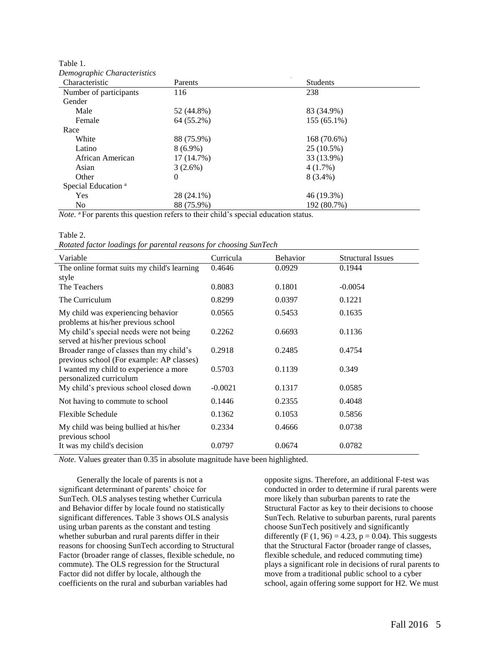| Demographic Characteristics<br>Characteristic | Parents    | <b>Students</b> |  |
|-----------------------------------------------|------------|-----------------|--|
| Number of participants                        | 116        | 238             |  |
| Gender                                        |            |                 |  |
| Male                                          | 52 (44.8%) | 83 (34.9%)      |  |
|                                               |            |                 |  |
| Female                                        | 64 (55.2%) | 155 (65.1%)     |  |
| Race                                          |            |                 |  |
| White                                         | 88 (75.9%) | 168 (70.6%)     |  |
| Latino                                        | $8(6.9\%)$ | 25 (10.5%)      |  |
| African American                              | 17 (14.7%) | 33 (13.9%)      |  |
| Asian                                         | $3(2.6\%)$ | 4(1.7%)         |  |
| Other                                         | $\theta$   | 8 (3.4%)        |  |
| Special Education <sup>a</sup>                |            |                 |  |
| <b>Yes</b>                                    | 28 (24.1%) | 46 (19.3%)      |  |
| N <sub>0</sub>                                | 88 (75.9%) | 192 (80.7%)     |  |

Table 1. *Demographic Characteristics*

*Note.* <sup>a</sup> For parents this question refers to their child's special education status.

Table 2.

*Rotated factor loadings for parental reasons for choosing SunTech*

| Variable                                                                              | Curricula | <b>Behavior</b> | <b>Structural Issues</b> |
|---------------------------------------------------------------------------------------|-----------|-----------------|--------------------------|
| The online format suits my child's learning<br>style                                  | 0.4646    | 0.0929          | 0.1944                   |
| The Teachers                                                                          | 0.8083    | 0.1801          | $-0.0054$                |
| The Curriculum                                                                        | 0.8299    | 0.0397          | 0.1221                   |
| My child was experiencing behavior<br>problems at his/her previous school             | 0.0565    | 0.5453          | 0.1635                   |
| My child's special needs were not being<br>served at his/her previous school          | 0.2262    | 0.6693          | 0.1136                   |
| Broader range of classes than my child's<br>previous school (For example: AP classes) | 0.2918    | 0.2485          | 0.4754                   |
| I wanted my child to experience a more<br>personalized curriculum                     | 0.5703    | 0.1139          | 0.349                    |
| My child's previous school closed down                                                | $-0.0021$ | 0.1317          | 0.0585                   |
| Not having to commute to school                                                       | 0.1446    | 0.2355          | 0.4048                   |
| Flexible Schedule                                                                     | 0.1362    | 0.1053          | 0.5856                   |
| My child was being bullied at his/her<br>previous school                              | 0.2334    | 0.4666          | 0.0738                   |
| It was my child's decision                                                            | 0.0797    | 0.0674          | 0.0782                   |

*Note.* Values greater than 0.35 in absolute magnitude have been highlighted.

Generally the locale of parents is not a significant determinant of parents' choice for SunTech. OLS analyses testing whether Curricula and Behavior differ by locale found no statistically significant differences. Table 3 shows OLS analysis using urban parents as the constant and testing whether suburban and rural parents differ in their reasons for choosing SunTech according to Structural Factor (broader range of classes, flexible schedule, no commute). The OLS regression for the Structural Factor did not differ by locale, although the coefficients on the rural and suburban variables had

opposite signs. Therefore, an additional F-test was conducted in order to determine if rural parents were more likely than suburban parents to rate the Structural Factor as key to their decisions to choose SunTech. Relative to suburban parents, rural parents choose SunTech positively and significantly differently (F  $(1, 96) = 4.23$ ,  $p = 0.04$ ). This suggests that the Structural Factor (broader range of classes, flexible schedule, and reduced commuting time) plays a significant role in decisions of rural parents to move from a traditional public school to a cyber school, again offering some support for H2. We must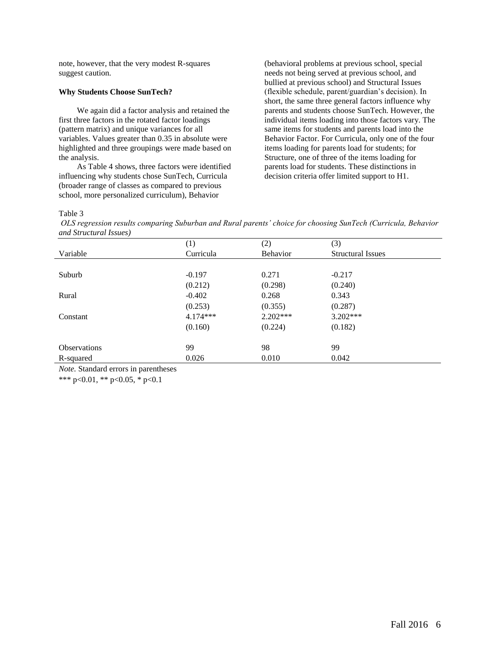note, however, that the very modest R-squares suggest caution.

## **Why Students Choose SunTech?**

We again did a factor analysis and retained the first three factors in the rotated factor loadings (pattern matrix) and unique variances for all variables. Values greater than 0.35 in absolute were highlighted and three groupings were made based on the analysis.

As Table 4 shows, three factors were identified influencing why students chose SunTech, Curricula (broader range of classes as compared to previous school, more personalized curriculum), Behavior

(behavioral problems at previous school, special needs not being served at previous school, and bullied at previous school) and Structural Issues (flexible schedule, parent/guardian's decision). In short, the same three general factors influence why parents and students choose SunTech. However, the individual items loading into those factors vary. The same items for students and parents load into the Behavior Factor. For Curricula, only one of the four items loading for parents load for students; for Structure, one of three of the items loading for parents load for students. These distinctions in decision criteria offer limited support to H1.

Table 3

*OLS regression results comparing Suburban and Rural parents' choice for choosing SunTech (Curricula, Behavior and Structural Issues)*

|                     | (1)        | (2)             | (3)                      |
|---------------------|------------|-----------------|--------------------------|
| Variable            | Curricula  | <b>Behavior</b> | <b>Structural Issues</b> |
|                     |            |                 |                          |
| Suburb              | $-0.197$   | 0.271           | $-0.217$                 |
|                     | (0.212)    | (0.298)         | (0.240)                  |
| Rural               | $-0.402$   | 0.268           | 0.343                    |
|                     | (0.253)    | (0.355)         | (0.287)                  |
| Constant            | $4.174***$ | $2.202***$      | $3.202***$               |
|                     | (0.160)    | (0.224)         | (0.182)                  |
| <b>Observations</b> | 99         | 98              | 99                       |
| R-squared           | 0.026      | 0.010           | 0.042                    |

*Note.* Standard errors in parentheses

\*\*\* p<0.01, \*\* p<0.05, \* p<0.1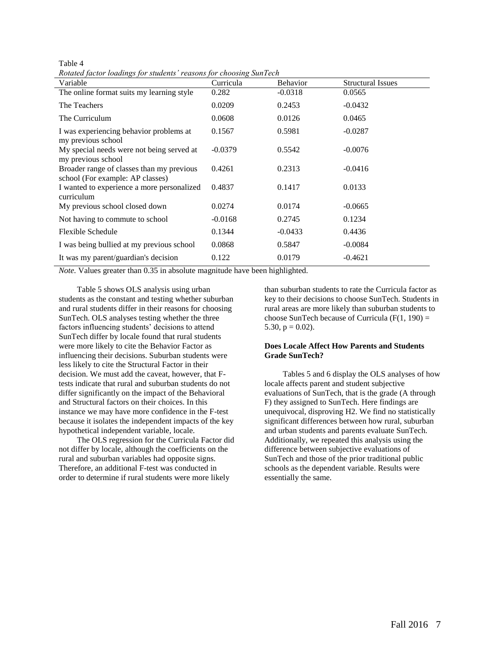Table 4 *Rotated factor loadings for students' reasons for choosing SunTech*

| $\ldots$ , $\ldots$ , $\ldots$ , $\ldots$ , $\ldots$ , $\ldots$ . $\ldots$ . $\ldots$ . $\ldots$ . $\ldots$ . $\ldots$ .<br>Variable | Curricula | <b>Behavior</b> | <b>Structural Issues</b> |
|--------------------------------------------------------------------------------------------------------------------------------------|-----------|-----------------|--------------------------|
| The online format suits my learning style                                                                                            | 0.282     | $-0.0318$       | 0.0565                   |
| The Teachers                                                                                                                         | 0.0209    | 0.2453          | $-0.0432$                |
| The Curriculum                                                                                                                       | 0.0608    | 0.0126          | 0.0465                   |
| I was experiencing behavior problems at<br>my previous school                                                                        | 0.1567    | 0.5981          | $-0.0287$                |
| My special needs were not being served at<br>my previous school                                                                      | $-0.0379$ | 0.5542          | $-0.0076$                |
| Broader range of classes than my previous<br>school (For example: AP classes)                                                        | 0.4261    | 0.2313          | $-0.0416$                |
| I wanted to experience a more personalized<br>curriculum                                                                             | 0.4837    | 0.1417          | 0.0133                   |
| My previous school closed down                                                                                                       | 0.0274    | 0.0174          | $-0.0665$                |
| Not having to commute to school                                                                                                      | $-0.0168$ | 0.2745          | 0.1234                   |
| Flexible Schedule                                                                                                                    | 0.1344    | $-0.0433$       | 0.4436                   |
| I was being bullied at my previous school                                                                                            | 0.0868    | 0.5847          | $-0.0084$                |
| It was my parent/guardian's decision                                                                                                 | 0.122     | 0.0179          | $-0.4621$                |

*Note.* Values greater than 0.35 in absolute magnitude have been highlighted.

Table 5 shows OLS analysis using urban students as the constant and testing whether suburban and rural students differ in their reasons for choosing SunTech. OLS analyses testing whether the three factors influencing students' decisions to attend SunTech differ by locale found that rural students were more likely to cite the Behavior Factor as influencing their decisions. Suburban students were less likely to cite the Structural Factor in their decision. We must add the caveat, however, that Ftests indicate that rural and suburban students do not differ significantly on the impact of the Behavioral and Structural factors on their choices. In this instance we may have more confidence in the F-test because it isolates the independent impacts of the key hypothetical independent variable, locale.

The OLS regression for the Curricula Factor did not differ by locale, although the coefficients on the rural and suburban variables had opposite signs. Therefore, an additional F-test was conducted in order to determine if rural students were more likely

than suburban students to rate the Curricula factor as key to their decisions to choose SunTech. Students in rural areas are more likely than suburban students to choose SunTech because of Curricula  $(F(1, 190)) =$ 5.30,  $p = 0.02$ ).

## **Does Locale Affect How Parents and Students Grade SunTech?**

Tables 5 and 6 display the OLS analyses of how locale affects parent and student subjective evaluations of SunTech, that is the grade (A through F) they assigned to SunTech. Here findings are unequivocal, disproving H2. We find no statistically significant differences between how rural, suburban and urban students and parents evaluate SunTech. Additionally, we repeated this analysis using the difference between subjective evaluations of SunTech and those of the prior traditional public schools as the dependent variable. Results were essentially the same.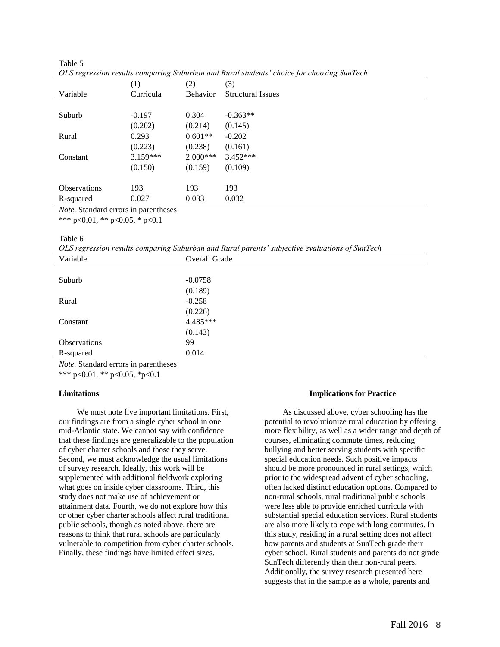|                                                                                                                                                      | (1)        | (2)             | (3)                      |
|------------------------------------------------------------------------------------------------------------------------------------------------------|------------|-----------------|--------------------------|
| Variable                                                                                                                                             | Curricula  | <b>Behavior</b> | <b>Structural Issues</b> |
|                                                                                                                                                      |            |                 |                          |
| Suburb                                                                                                                                               | $-0.197$   | 0.304           | $-0.363**$               |
|                                                                                                                                                      | (0.202)    | (0.214)         | (0.145)                  |
| Rural                                                                                                                                                | 0.293      | $0.601**$       | $-0.202$                 |
|                                                                                                                                                      | (0.223)    | (0.238)         | (0.161)                  |
| Constant                                                                                                                                             | $3.159***$ | $2.000***$      | $3.452***$               |
|                                                                                                                                                      | (0.150)    | (0.159)         | (0.109)                  |
|                                                                                                                                                      |            |                 |                          |
| <b>Observations</b>                                                                                                                                  | 193        | 193             | 193                      |
| R-squared                                                                                                                                            | 0.027      | 0.033           | 0.032                    |
| $\mathbf{M}$ and $\mathbf{G}$ are $\mathbf{I}$ and $\mathbf{I}$ are $\mathbf{I}$ and $\mathbf{I}$ are $\mathbf{I}$ and $\mathbf{I}$ are $\mathbf{I}$ |            |                 |                          |

| Table 5                                                                                   |  |
|-------------------------------------------------------------------------------------------|--|
| OLS regression results comparing Suburban and Rural students' choice for choosing SunTech |  |

*Note.* Standard errors in parentheses

\*\*\* p<0.01, \*\* p<0.05, \* p<0.1

### Table 6

*OLS regression results comparing Suburban and Rural parents' subjective evaluations of SunTech*

| Variable     | Overall Grade |  |  |
|--------------|---------------|--|--|
|              |               |  |  |
| Suburb       | $-0.0758$     |  |  |
|              | (0.189)       |  |  |
| Rural        | $-0.258$      |  |  |
|              | (0.226)       |  |  |
| Constant     | 4.485***      |  |  |
|              | (0.143)       |  |  |
| Observations | 99            |  |  |
| R-squared    | 0.014         |  |  |
|              |               |  |  |

*Note.* Standard errors in parentheses

\*\*\* p<0.01, \*\* p<0.05, \*p<0.1

### **Limitations**

We must note five important limitations. First, our findings are from a single cyber school in one mid-Atlantic state. We cannot say with confidence that these findings are generalizable to the population of cyber charter schools and those they serve. Second, we must acknowledge the usual limitations of survey research. Ideally, this work will be supplemented with additional fieldwork exploring what goes on inside cyber classrooms. Third, this study does not make use of achievement or attainment data. Fourth, we do not explore how this or other cyber charter schools affect rural traditional public schools, though as noted above, there are reasons to think that rural schools are particularly vulnerable to competition from cyber charter schools. Finally, these findings have limited effect sizes.

### **Implications for Practice**

As discussed above, cyber schooling has the potential to revolutionize rural education by offering more flexibility, as well as a wider range and depth of courses, eliminating commute times, reducing bullying and better serving students with specific special education needs. Such positive impacts should be more pronounced in rural settings, which prior to the widespread advent of cyber schooling, often lacked distinct education options. Compared to non-rural schools, rural traditional public schools were less able to provide enriched curricula with substantial special education services. Rural students are also more likely to cope with long commutes. In this study, residing in a rural setting does not affect how parents and students at SunTech grade their cyber school. Rural students and parents do not grade SunTech differently than their non-rural peers. Additionally, the survey research presented here suggests that in the sample as a whole, parents and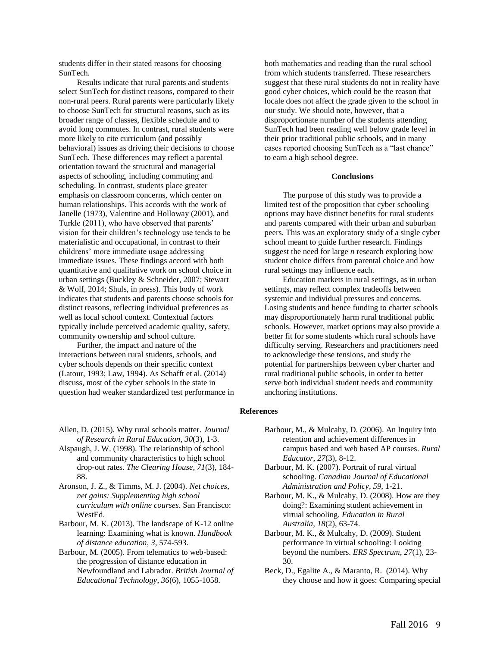students differ in their stated reasons for choosing SunTech.

Results indicate that rural parents and students select SunTech for distinct reasons, compared to their non-rural peers. Rural parents were particularly likely to choose SunTech for structural reasons, such as its broader range of classes, flexible schedule and to avoid long commutes. In contrast, rural students were more likely to cite curriculum (and possibly behavioral) issues as driving their decisions to choose SunTech. These differences may reflect a parental orientation toward the structural and managerial aspects of schooling, including commuting and scheduling. In contrast, students place greater emphasis on classroom concerns, which center on human relationships. This accords with the work of Janelle (1973), Valentine and Holloway (2001), and Turkle (2011), who have observed that parents' vision for their children's technology use tends to be materialistic and occupational, in contrast to their childrens' more immediate usage addressing immediate issues. These findings accord with both quantitative and qualitative work on school choice in urban settings (Buckley & Schneider, 2007; Stewart & Wolf, 2014; Shuls, in press). This body of work indicates that students and parents choose schools for distinct reasons, reflecting individual preferences as well as local school context. Contextual factors typically include perceived academic quality, safety, community ownership and school culture.

Further, the impact and nature of the interactions between rural students, schools, and cyber schools depends on their specific context (Latour, 1993; Law, 1994). As Schafft et al. (2014) discuss, most of the cyber schools in the state in question had weaker standardized test performance in both mathematics and reading than the rural school from which students transferred. These researchers suggest that these rural students do not in reality have good cyber choices, which could be the reason that locale does not affect the grade given to the school in our study. We should note, however, that a disproportionate number of the students attending SunTech had been reading well below grade level in their prior traditional public schools, and in many cases reported choosing SunTech as a "last chance" to earn a high school degree.

#### **Conclusions**

The purpose of this study was to provide a limited test of the proposition that cyber schooling options may have distinct benefits for rural students and parents compared with their urban and suburban peers. This was an exploratory study of a single cyber school meant to guide further research. Findings suggest the need for large *n* research exploring how student choice differs from parental choice and how rural settings may influence each.

Education markets in rural settings, as in urban settings, may reflect complex tradeoffs between systemic and individual pressures and concerns. Losing students and hence funding to charter schools may disproportionately harm rural traditional public schools. However, market options may also provide a better fit for some students which rural schools have difficulty serving. Researchers and practitioners need to acknowledge these tensions, and study the potential for partnerships between cyber charter and rural traditional public schools, in order to better serve both individual student needs and community anchoring institutions.

#### **References**

- Allen, D. (2015). Why rural schools matter. *Journal of Research in Rural Education*, *30*(3), 1-3.
- Alspaugh, J. W. (1998). The relationship of school and community characteristics to high school drop-out rates. *The Clearing House*, *71*(3), 184- 88.
- Aronson, J. Z., & Timms, M. J. (2004). *Net choices, net gains: Supplementing high school curriculum with online courses*. San Francisco: WestEd.
- Barbour, M. K. (2013). The landscape of K-12 online learning: Examining what is known. *Handbook of distance education*, *3*, 574-593.
- Barbour, M. (2005). From telematics to web-based: the progression of distance education in Newfoundland and Labrador. *British Journal of Educational Technology*, *36*(6), 1055-1058.
- Barbour, M., & Mulcahy, D. (2006). An Inquiry into retention and achievement differences in campus based and web based AP courses. *Rural Educator*, *27*(3), 8-12.
- Barbour, M. K. (2007). Portrait of rural virtual schooling. *Canadian Journal of Educational Administration and Policy*, *59*, 1-21.
- Barbour, M. K., & Mulcahy, D. (2008). How are they doing?: Examining student achievement in virtual schooling. *Education in Rural Australia*, *18*(2), 63-74.
- Barbour, M. K., & Mulcahy, D. (2009). Student performance in virtual schooling: Looking beyond the numbers. *ERS Spectrum*, *27*(1), 23- 30.
- Beck, D., Egalite A., & Maranto, R. (2014). Why they choose and how it goes: Comparing special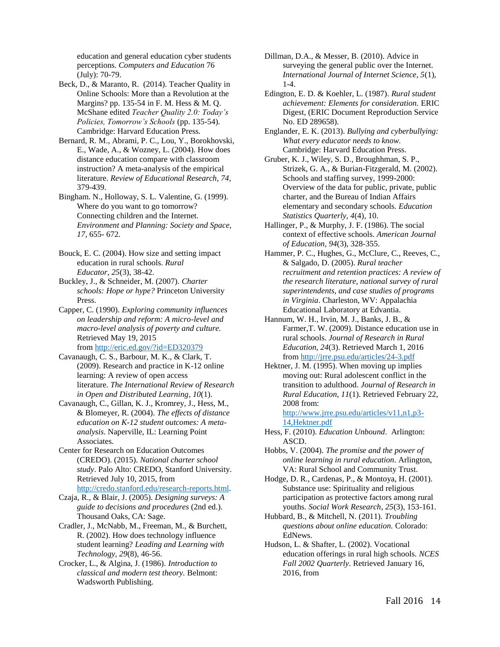education and general education cyber students perceptions. *Computers and Education* 76 (July): 70-79.

- Beck, D., & Maranto, R. (2014). Teacher Quality in Online Schools: More than a Revolution at the Margins? pp. 135-54 in F. M. Hess & M. Q. McShane edited *Teacher Quality 2.0: Today's Policies, Tomorrow's Schools* (pp. 135-54). Cambridge: Harvard Education Press.
- Bernard, R. M., Abrami, P. C., Lou, Y., Borokhovski, E., Wade, A., & Wozney, L. (2004). How does distance education compare with classroom instruction? A meta-analysis of the empirical literature. *Review of Educational Research, 74*, 379-439.
- Bingham. N., Holloway, S. L. Valentine, G. (1999). Where do you want to go tomorrow? Connecting children and the Internet. *Environment and Planning: Society and Space, 17*, 655- 672.
- Bouck, E. C. (2004). How size and setting impact education in rural schools. *Rural Educator*, *25*(3), 38-42.
- Buckley, J., & Schneider, M. (2007). *Charter schools: Hope or hype?* Princeton University Press.
- Capper, C. (1990). *Exploring community influences on leadership and reform: A micro-level and macro-level analysis of poverty and culture.* Retrieved May 19, 2015 from <http://eric.ed.gov/?id=ED320379>
- Cavanaugh, C. S., Barbour, M. K., & Clark, T. (2009). Research and practice in K-12 online learning: A review of open access literature. *The International Review of Research in Open and Distributed Learning*, *10*(1).
- Cavanaugh, C., Gillan, K. J., Kromrey, J., Hess, M., & Blomeyer, R. (2004). *The effects of distance education on K-12 student outcomes: A metaanalysis*. Naperville, IL: Learning Point Associates.
- Center for Research on Education Outcomes (CREDO). (2015). *National charter school study*. Palo Alto: CREDO, Stanford University. Retrieved July 10, 2015, from [http://credo.stanford.edu/research-reports.html.](http://credo.stanford.edu/research-reports.html)
- Czaja, R., & Blair, J. (2005). *Designing surveys: A guide to decisions and procedures* (2nd ed.). Thousand Oaks, CA: Sage.
- Cradler, J., McNabb, M., Freeman, M., & Burchett, R. (2002). How does technology influence student learning? *Leading and Learning with Technology, 29*(8), 46-56.
- Crocker, L., & Algina, J. (1986). *Introduction to classical and modern test theory.* Belmont: Wadsworth Publishing.
- Dillman, D.A., & Messer, B. (2010). Advice in surveying the general public over the Internet. *International Journal of Internet Science, 5*(1), 1-4.
- Edington, E. D. & Koehler, L. (1987). *Rural student achievement: Elements for consideration.* ERIC Digest, (ERIC Document Reproduction Service No. ED 289658).
- Englander, E. K. (2013). *Bullying and cyberbullying: What every educator needs to know.* Cambridge: Harvard Education Press.
- Gruber, K. J., Wiley, S. D., Broughhman, S. P., Strizek, G. A., & Burian-Fitzgerald, M. (2002). Schools and staffing survey, 1999-2000: Overview of the data for public, private, public charter, and the Bureau of Indian Affairs elementary and secondary schools. *Education Statistics Quarterly, 4*(4), 10.
- Hallinger, P., & Murphy, J. F. (1986). The social context of effective schools. *American Journal of Education, 94*(3), 328-355.
- Hammer, P. C., Hughes, G., McClure, C., Reeves, C., & Salgado, D. (2005). *Rural teacher recruitment and retention practices: A review of the research literature, national survey of rural superintendents, and case studies of programs in Virginia*. Charleston, WV: Appalachia Educational Laboratory at Edvantia.
- Hannum, W. H., Irvin, M. J., Banks, J. B., & Farmer,T. W. (2009). Distance education use in rural schools. *Journal of Research in Rural Education, 24*(3). Retrieved March 1, 2016 from<http://jrre.psu.edu/articles/24-3.pdf>
- Hektner, J. M. (1995). When moving up implies moving out: Rural adolescent conflict in the transition to adulthood. *Journal of Research in Rural Education*, *11*(1). Retrieved February 22, 2008 from:

[http://www.jrre.psu.edu/articles/v11,n1,p3-](http://www.jrre.psu.edu/articles/v11,n1,p3-14,Hektner.pdf) [14,Hektner.pdf](http://www.jrre.psu.edu/articles/v11,n1,p3-14,Hektner.pdf)

- Hess, F. (2010). *Education Unbound*. Arlington: ASCD.
- Hobbs, V. (2004). *The promise and the power of online learning in rural education*. Arlington, VA: Rural School and Community Trust.
- Hodge, D. R., Cardenas, P., & Montoya, H. (2001). Substance use: Spirituality and religious participation as protective factors among rural youths. *Social Work Research, 25*(3), 153-161.
- Hubbard, B., & Mitchell, N. (2011). *Troubling questions about online education.* Colorado: EdNews.
- Hudson, L. & Shafter, L. (2002). Vocational education offerings in rural high schools. *NCES Fall 2002 Quarterly*. Retrieved January 16, 2016, from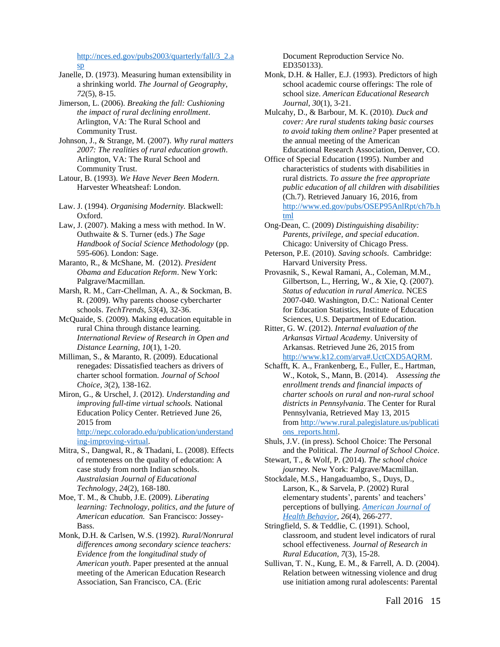[http://nces.ed.gov/pubs2003/quarterly/fall/3\\_2.a](http://nces.ed.gov/pubs2003/quarterly/fall/3_2.asp) [sp](http://nces.ed.gov/pubs2003/quarterly/fall/3_2.asp)

Janelle, D. (1973). Measuring human extensibility in a shrinking world. *The Journal of Geography*, *72*(5), 8-15.

Jimerson, L. (2006). *Breaking the fall: Cushioning the impact of rural declining enrollment*. Arlington, VA: The Rural School and Community Trust.

Johnson, J., & Strange, M. (2007). *Why rural matters 2007: The realities of rural education growth*. Arlington, VA: The Rural School and Community Trust.

Latour, B. (1993). *We Have Never Been Modern.* Harvester Wheatsheaf: London.

Law. J. (1994). *Organising Modernity.* Blackwell: Oxford.

Law, J. (2007). Making a mess with method. In W. Outhwaite & S. Turner (eds.) *The Sage Handbook of Social Science Methodology* (pp. 595-606). London: Sage.

Maranto, R., & McShane, M. (2012). *President Obama and Education Reform*. New York: Palgrave/Macmillan.

Marsh, R. M., Carr-Chellman, A. A., & Sockman, B. R. (2009). Why parents choose cybercharter schools. *TechTrends*, *53*(4), 32-36.

McQuaide, S. (2009). Making education equitable in rural China through distance learning. *International Review of Research in Open and Distance Learning, 10*(1), 1-20.

Milliman, S., & Maranto, R. (2009). Educational renegades: Dissatisfied teachers as drivers of charter school formation. *Journal of School Choice*, *3*(2), 138-162.

Miron, G., & Urschel, J. (2012). *Understanding and improving full-time virtual schools.* National Education Policy Center. Retrieved June 26, 2015 from [http://nepc.colorado.edu/publication/understand](http://nepc.colorado.edu/publication/understanding-improving-virtual)

[ing-improving-virtual.](http://nepc.colorado.edu/publication/understanding-improving-virtual)  Mitra, S., Dangwal, R., & Thadani, L. (2008). Effects of remoteness on the quality of education: A

case study from north Indian schools. *Australasian Journal of Educational Technology, 24*(2), 168-180.

Moe, T. M., & Chubb, J.E. (2009). *Liberating learning: Technology, politics, and the future of American education.* San Francisco: Jossey-Bass.

Monk, D.H. & Carlsen, W.S. (1992). *Rural/Nonrural differences among secondary science teachers: Evidence from the longitudinal study of American youth*. Paper presented at the annual meeting of the American Education Research Association, San Francisco, CA. (Eric

Document Reproduction Service No. ED350133).

Monk, D.H. & Haller, E.J. (1993). Predictors of high school academic course offerings: The role of school size. *American Educational Research Journal*, *30*(1), 3-21.

Mulcahy, D., & Barbour, M. K. (2010). *Duck and cover: Are rural students taking basic courses to avoid taking them online?* Paper presented at the annual meeting of the American Educational Research Association, Denver, CO.

Office of Special Education (1995). Number and characteristics of students with disabilities in rural districts. *To assure the free appropriate public education of all children with disabilities*  (Ch.7). Retrieved January 16, 2016, from [http://www.ed.gov/pubs/OSEP95AnlRpt/ch7b.h](http://www.ed.gov/pubs/OSEP95AnlRpt/ch7b.html) [tml](http://www.ed.gov/pubs/OSEP95AnlRpt/ch7b.html)

Ong-Dean, C. (2009) *Distinguishing disability: Parents, privilege, and special education*. Chicago: University of Chicago Press.

Peterson, P.E. (2010). *Saving schools*. Cambridge: Harvard University Press.

Provasnik, S., Kewal Ramani, A., Coleman, M.M., Gilbertson, L., Herring, W., & Xie, Q. (2007). *Status of education in rural America.* NCES 2007-040. Washington, D.C.: National Center for Education Statistics, Institute of Education Sciences, U.S. Department of Education.

Ritter, G. W. (2012). *Internal evaluation of the Arkansas Virtual Academy*. University of Arkansas. Retrieved June 26, 2015 from [http://www.k12.com/arva#.UctCXD5AQRM.](http://www.k12.com/arva#.UctCXD5AQRM)

Schafft, K. A., Frankenberg, E., Fuller, E., Hartman, W., Kotok, S., Mann, B. (2014). *Assessing the enrollment trends and financial impacts of charter schools on rural and non-rural school districts in Pennsylvania*. The Center for Rural Pennsylvania, Retrieved May 13, 2015 from [http://www.rural.palegislature.us/publicati](http://www.rural.palegislature.us/publications_reports.html) [ons\\_reports.html.](http://www.rural.palegislature.us/publications_reports.html)

Shuls, J.V. (in press). School Choice: The Personal and the Political. *The Journal of School Choice*.

Stewart, T., & Wolf, P. (2014). *The school choice journey.* New York: Palgrave/Macmillan.

Stockdale, M.S., Hangaduambo, S., Duys, D., Larson, K., & Sarvela, P. (2002) Rural elementary students', parents' and teachers' perceptions of bullying. *[American Journal of](http://www.ingentaconnect.com/content/png/ajhb;jsessionid=59481hcr5f1k9.victoria)  [Health Behavior,](http://www.ingentaconnect.com/content/png/ajhb;jsessionid=59481hcr5f1k9.victoria) 26*(4), 266-277.

Stringfield, S. & Teddlie, C. (1991). School, classroom, and student level indicators of rural school effectiveness. *Journal of Research in Rural Education*, *7*(3), 15-28.

Sullivan, T. N., Kung, E. M., & Farrell, A. D. (2004). Relation between witnessing violence and drug use initiation among rural adolescents: Parental

Fall 2016 15